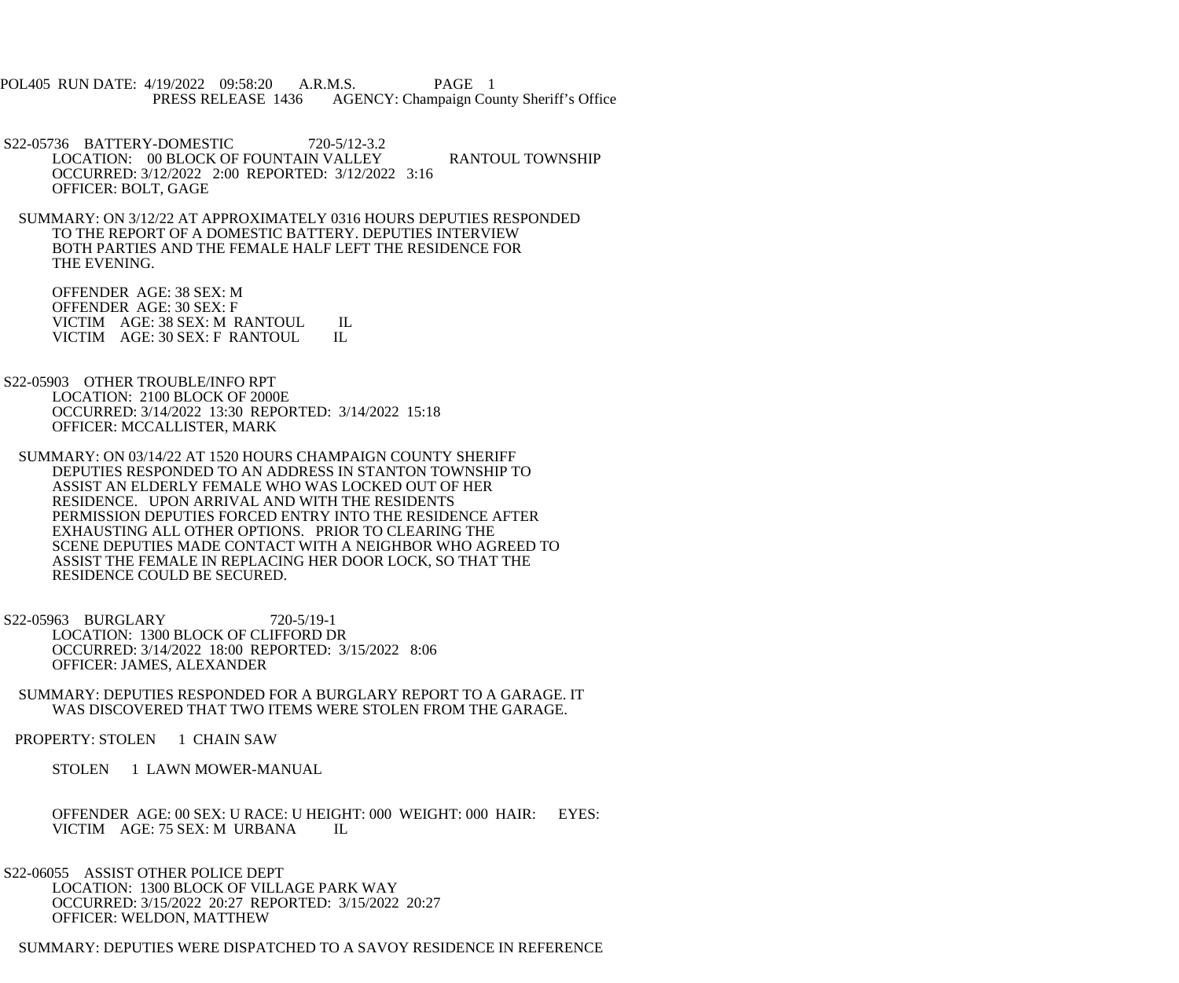POL405 RUN DATE: 4/19/2022 09:58:20 A.R.M.S. PAGE 1 PRESS RELEASE 1436 AGENCY: Champaign County Sheriff's Office

 S22-05736 BATTERY-DOMESTIC 720-5/12-3.2 LOCATION: 00 BLOCK OF FOUNTAIN VALLEY RANTOUL TOWNSHIP OCCURRED: 3/12/2022 2:00 REPORTED: 3/12/2022 3:16 OFFICER: BOLT, GAGE

 SUMMARY: ON 3/12/22 AT APPROXIMATELY 0316 HOURS DEPUTIES RESPONDED TO THE REPORT OF A DOMESTIC BATTERY. DEPUTIES INTERVIEW BOTH PARTIES AND THE FEMALE HALF LEFT THE RESIDENCE FOR THE EVENING.

 OFFENDER AGE: 38 SEX: M OFFENDER AGE: 30 SEX: F VICTIM AGE: 38 SEX: M RANTOUL IL<br>VICTIM AGE: 30 SEX: F RANTOUL IL VICTIM AGE: 30 SEX: F RANTOUL

 S22-05903 OTHER TROUBLE/INFO RPT LOCATION: 2100 BLOCK OF 2000E OCCURRED: 3/14/2022 13:30 REPORTED: 3/14/2022 15:18 OFFICER: MCCALLISTER, MARK

 SUMMARY: ON 03/14/22 AT 1520 HOURS CHAMPAIGN COUNTY SHERIFF DEPUTIES RESPONDED TO AN ADDRESS IN STANTON TOWNSHIP TO ASSIST AN ELDERLY FEMALE WHO WAS LOCKED OUT OF HER RESIDENCE. UPON ARRIVAL AND WITH THE RESIDENTS PERMISSION DEPUTIES FORCED ENTRY INTO THE RESIDENCE AFTER EXHAUSTING ALL OTHER OPTIONS. PRIOR TO CLEARING THE SCENE DEPUTIES MADE CONTACT WITH A NEIGHBOR WHO AGREED TO ASSIST THE FEMALE IN REPLACING HER DOOR LOCK, SO THAT THE RESIDENCE COULD BE SECURED.

 S22-05963 BURGLARY 720-5/19-1 LOCATION: 1300 BLOCK OF CLIFFORD DR OCCURRED: 3/14/2022 18:00 REPORTED: 3/15/2022 8:06 OFFICER: JAMES, ALEXANDER

 SUMMARY: DEPUTIES RESPONDED FOR A BURGLARY REPORT TO A GARAGE. IT WAS DISCOVERED THAT TWO ITEMS WERE STOLEN FROM THE GARAGE.

PROPERTY: STOLEN 1 CHAIN SAW

STOLEN 1 LAWN MOWER-MANUAL

 OFFENDER AGE: 00 SEX: U RACE: U HEIGHT: 000 WEIGHT: 000 HAIR: EYES: VICTIM AGE: 75 SEX: M URBANA IL

S22-06055 ASSIST OTHER POLICE DEPT

 LOCATION: 1300 BLOCK OF VILLAGE PARK WAY OCCURRED: 3/15/2022 20:27 REPORTED: 3/15/2022 20:27 OFFICER: WELDON, MATTHEW

SUMMARY: DEPUTIES WERE DISPATCHED TO A SAVOY RESIDENCE IN REFERENCE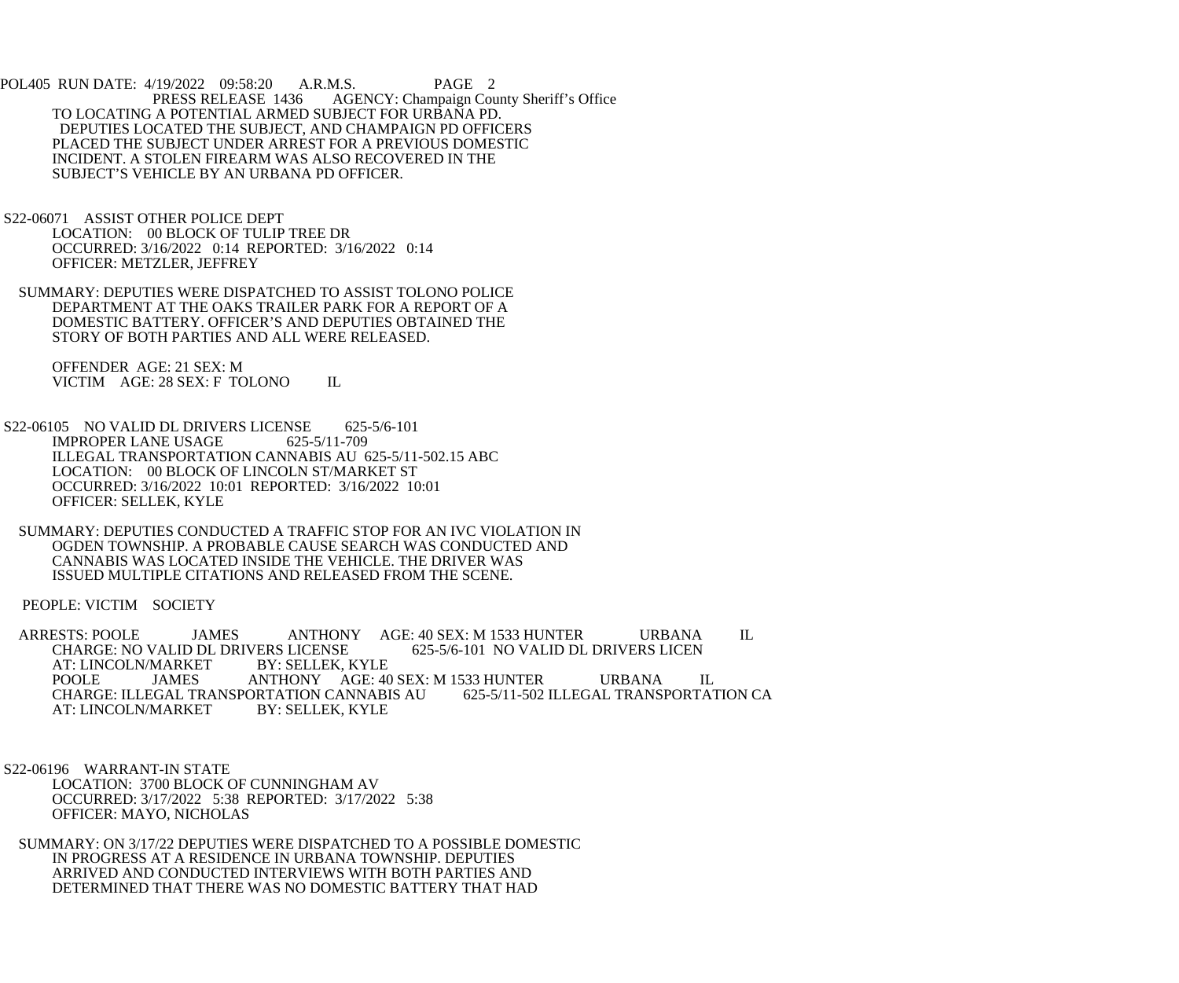POL405 RUN DATE: 4/19/2022 09:58:20 A.R.M.S. PAGE 2<br>PRESS RELEASE 1436 AGENCY: Champaign Cou AGENCY: Champaign County Sheriff's Office TO LOCATING A POTENTIAL ARMED SUBJECT FOR URBANA PD. DEPUTIES LOCATED THE SUBJECT, AND CHAMPAIGN PD OFFICERS PLACED THE SUBJECT UNDER ARREST FOR A PREVIOUS DOMESTIC INCIDENT. A STOLEN FIREARM WAS ALSO RECOVERED IN THE SUBJECT'S VEHICLE BY AN URBANA PD OFFICER.

 S22-06071 ASSIST OTHER POLICE DEPT LOCATION: 00 BLOCK OF TULIP TREE DR OCCURRED: 3/16/2022 0:14 REPORTED: 3/16/2022 0:14 OFFICER: METZLER, JEFFREY

 SUMMARY: DEPUTIES WERE DISPATCHED TO ASSIST TOLONO POLICE DEPARTMENT AT THE OAKS TRAILER PARK FOR A REPORT OF A DOMESTIC BATTERY. OFFICER'S AND DEPUTIES OBTAINED THE STORY OF BOTH PARTIES AND ALL WERE RELEASED.

 OFFENDER AGE: 21 SEX: M VICTIM AGE: 28 SEX: F TOLONO IL

S22-06105 NO VALID DL DRIVERS LICENSE 625-5/6-101<br>IMPROPER LANE USAGE 625-5/11-709 **IMPROPER LANE USAGE**  ILLEGAL TRANSPORTATION CANNABIS AU 625-5/11-502.15 ABC LOCATION: 00 BLOCK OF LINCOLN ST/MARKET ST OCCURRED: 3/16/2022 10:01 REPORTED: 3/16/2022 10:01 OFFICER: SELLEK, KYLE

 SUMMARY: DEPUTIES CONDUCTED A TRAFFIC STOP FOR AN IVC VIOLATION IN OGDEN TOWNSHIP. A PROBABLE CAUSE SEARCH WAS CONDUCTED AND CANNABIS WAS LOCATED INSIDE THE VEHICLE. THE DRIVER WAS ISSUED MULTIPLE CITATIONS AND RELEASED FROM THE SCENE.

PEOPLE: VICTIM SOCIETY

ARRESTS: POOLE JAMES ANTHONY AGE: 40 SEX: M 1533 HUNTER URBANA IL<br>CHARGE: NO VALID DL DRIVERS LICENSE 625-5/6-101 NO VALID DL DRIVERS LICEN CHARGE: NO VALID DL DRIVERS LICENSE<br>AT: LINCOLN/MARKET BY: SELLEK, KYLE AT: LINCOLN/MARKET<br>POOLE JAMES POOLE JAMES ANTHONY AGE: 40 SEX: M 1533 HUNTER URBANA IL CHARGE: ILLEGAL TRANSPORTATION CA CHARGE: ILLEGAL TRANSPORTATION CANNABIS AU AT: LINCOLN/MARKET BY: SELLEK, KYLE AT: LINCOLN/MARKET

 S22-06196 WARRANT-IN STATE LOCATION: 3700 BLOCK OF CUNNINGHAM AV OCCURRED: 3/17/2022 5:38 REPORTED: 3/17/2022 5:38 OFFICER: MAYO, NICHOLAS

 SUMMARY: ON 3/17/22 DEPUTIES WERE DISPATCHED TO A POSSIBLE DOMESTIC IN PROGRESS AT A RESIDENCE IN URBANA TOWNSHIP. DEPUTIES ARRIVED AND CONDUCTED INTERVIEWS WITH BOTH PARTIES AND DETERMINED THAT THERE WAS NO DOMESTIC BATTERY THAT HAD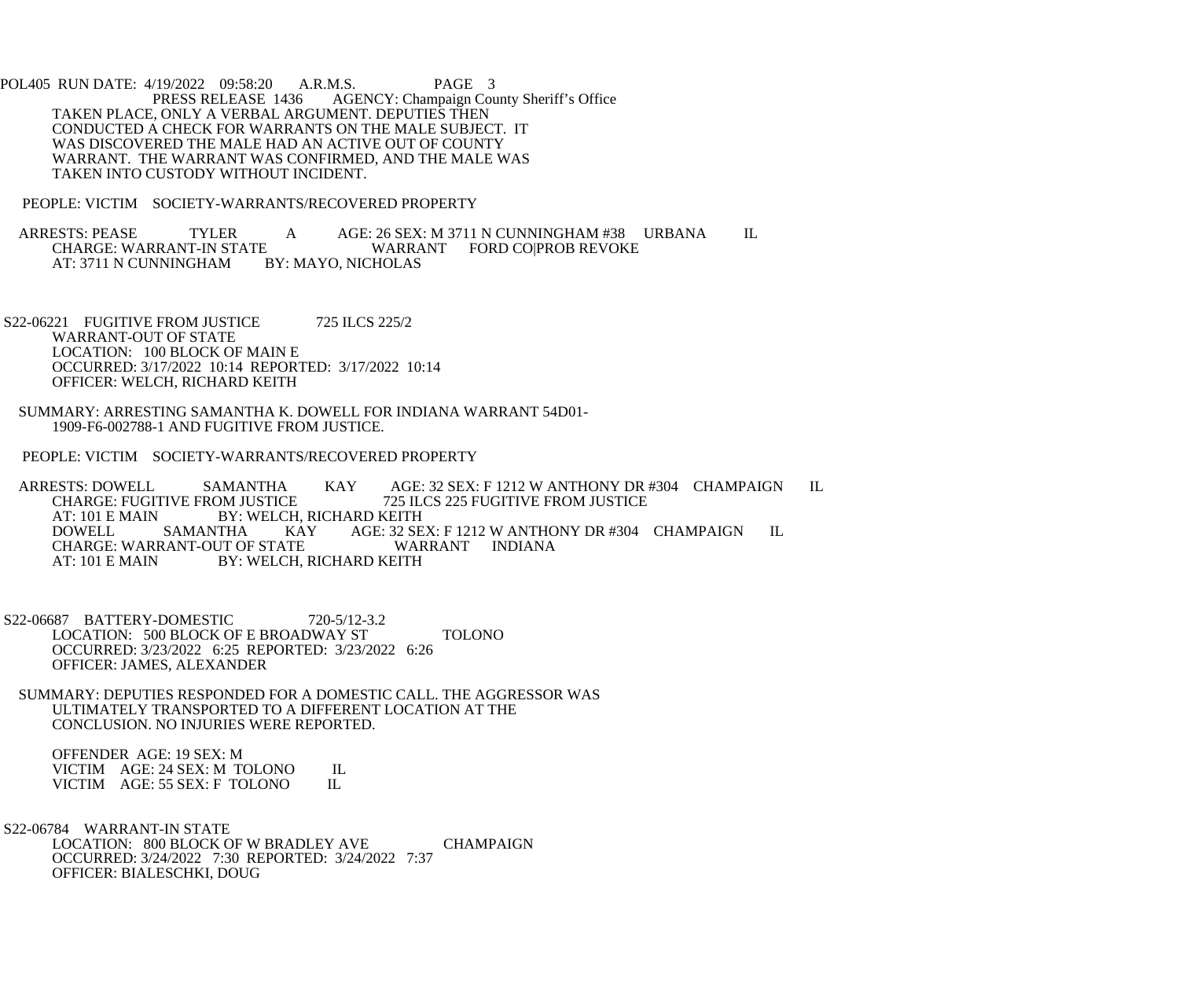POL405 RUN DATE: 4/19/2022 09:58:20 A.R.M.S. PAGE 3<br>PRESS RELEASE 1436 AGENCY: Champaign Cou AGENCY: Champaign County Sheriff's Office TAKEN PLACE, ONLY A VERBAL ARGUMENT. DEPUTIES THEN CONDUCTED A CHECK FOR WARRANTS ON THE MALE SUBJECT. IT WAS DISCOVERED THE MALE HAD AN ACTIVE OUT OF COUNTY WARRANT. THE WARRANT WAS CONFIRMED, AND THE MALE WAS TAKEN INTO CUSTODY WITHOUT INCIDENT.

PEOPLE: VICTIM SOCIETY-WARRANTS/RECOVERED PROPERTY

ARRESTS: PEASE TYLER A AGE: 26 SEX: M 3711 N CUNNINGHAM #38 URBANA IL<br>CHARGE: WARRANT-IN STATE WARRANT FORD COIPROB REVOKE E WARRANT FORD CO|PROB REVOKE<br>BY: MAYO, NICHOLAS AT: 3711 N CUNNINGHAM

S22-06221 FUGITIVE FROM JUSTICE 725 ILCS 225/2 WARRANT-OUT OF STATE LOCATION: 100 BLOCK OF MAIN E OCCURRED: 3/17/2022 10:14 REPORTED: 3/17/2022 10:14 OFFICER: WELCH, RICHARD KEITH

 SUMMARY: ARRESTING SAMANTHA K. DOWELL FOR INDIANA WARRANT 54D01- 1909-F6-002788-1 AND FUGITIVE FROM JUSTICE.

PEOPLE: VICTIM SOCIETY-WARRANTS/RECOVERED PROPERTY

ARRESTS: DOWELL SAMANTHA KAY AGE: 32 SEX: F 1212 W ANTHONY DR #304 CHAMPAIGN IL CHARGE: FUGITIVE FROM JUSTICE 725 ILCS 225 FUGITIVE FROM JUSTICE CHARGE: FUGITIVE FROM JUSTICE 725 ILCS 225 FUGITIVE FROM JUSTICE AT: 101 E MAIN BY: WELCH, RICHARD KEITH<br>DOWELL SAMANTHA KAY AGE: 32 SE AGE: 32 SEX: F 1212 W ANTHONY DR #304 CHAMPAIGN IL WARRANT INDIANA CHARGE: WARRANT-OUT OF STATE<br>AT: 101 E MAIN BY: WELCH. BY: WELCH, RICHARD KEITH

 S22-06687 BATTERY-DOMESTIC 720-5/12-3.2 LOCATION: 500 BLOCK OF E BROADWAY ST TOLONO OCCURRED: 3/23/2022 6:25 REPORTED: 3/23/2022 6:26 OFFICER: JAMES, ALEXANDER

 SUMMARY: DEPUTIES RESPONDED FOR A DOMESTIC CALL. THE AGGRESSOR WAS ULTIMATELY TRANSPORTED TO A DIFFERENT LOCATION AT THE CONCLUSION. NO INJURIES WERE REPORTED.

 OFFENDER AGE: 19 SEX: M VICTIM AGE: 24 SEX: M TOLONO IL<br>VICTIM AGE: 55 SEX: F TOLONO IL VICTIM AGE: 55 SEX: F TOLONO

 S22-06784 WARRANT-IN STATE LOCATION: 800 BLOCK OF W BRADLEY AVE CHAMPAIGN OCCURRED: 3/24/2022 7:30 REPORTED: 3/24/2022 7:37 OFFICER: BIALESCHKI, DOUG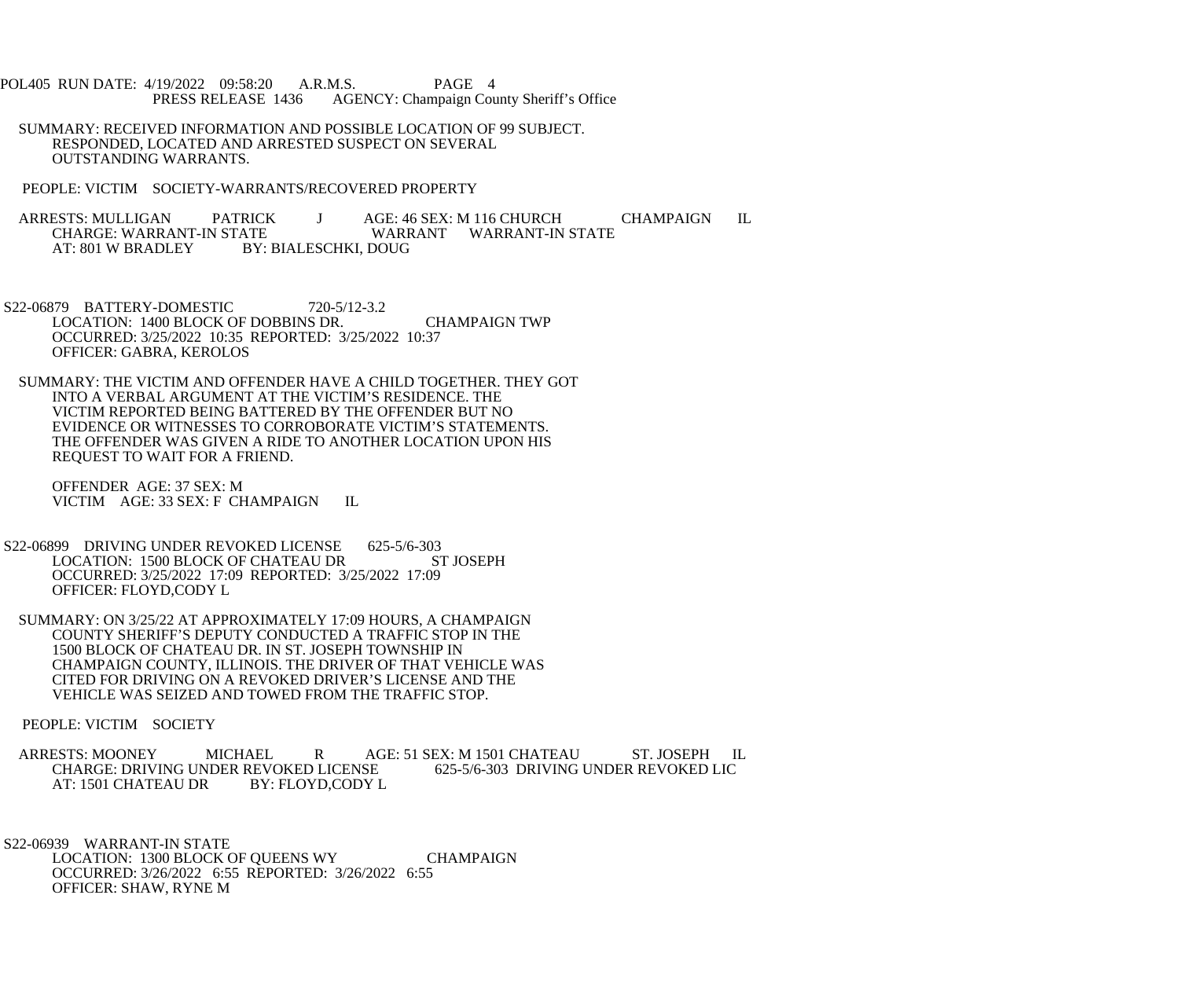- POL405 RUN DATE: 4/19/2022 09:58:20 A.R.M.S. PAGE 4<br>PRESS RELEASE 1436 AGENCY: Champaign Cou AGENCY: Champaign County Sheriff's Office
- SUMMARY: RECEIVED INFORMATION AND POSSIBLE LOCATION OF 99 SUBJECT. RESPONDED, LOCATED AND ARRESTED SUSPECT ON SEVERAL OUTSTANDING WARRANTS.
- PEOPLE: VICTIM SOCIETY-WARRANTS/RECOVERED PROPERTY
- ARRESTS: MULLIGAN PATRICK J AGE: 46 SEX: M 116 CHURCH CHAMPAIGN IL<br>CHARGE: WARRANT-IN STATE WARRANT WARRANT-IN STATE CHARGE: WARRANT-IN STATE<br>AT: 801 W BRADLEY BY: BY: BIALESCHKI, DOUG
- S22-06879 BATTERY-DOMESTIC 720-5/12-3.2 LOCATION: 1400 BLOCK OF DOBBINS DR. CHAMPAIGN TWP OCCURRED: 3/25/2022 10:35 REPORTED: 3/25/2022 10:37 OFFICER: GABRA, KEROLOS
- SUMMARY: THE VICTIM AND OFFENDER HAVE A CHILD TOGETHER. THEY GOT INTO A VERBAL ARGUMENT AT THE VICTIM'S RESIDENCE. THE VICTIM REPORTED BEING BATTERED BY THE OFFENDER BUT NO EVIDENCE OR WITNESSES TO CORROBORATE VICTIM'S STATEMENTS. THE OFFENDER WAS GIVEN A RIDE TO ANOTHER LOCATION UPON HIS REQUEST TO WAIT FOR A FRIEND.

 OFFENDER AGE: 37 SEX: M VICTIM AGE: 33 SEX: F CHAMPAIGN IL

- S22-06899 DRIVING UNDER REVOKED LICENSE 625-5/6-303<br>LOCATION: 1500 BLOCK OF CHATEAU DR ST JOSEPH LOCATION: 1500 BLOCK OF CHATEAU DR OCCURRED: 3/25/2022 17:09 REPORTED: 3/25/2022 17:09 OFFICER: FLOYD,CODY L
- SUMMARY: ON 3/25/22 AT APPROXIMATELY 17:09 HOURS, A CHAMPAIGN COUNTY SHERIFF'S DEPUTY CONDUCTED A TRAFFIC STOP IN THE 1500 BLOCK OF CHATEAU DR. IN ST. JOSEPH TOWNSHIP IN CHAMPAIGN COUNTY, ILLINOIS. THE DRIVER OF THAT VEHICLE WAS CITED FOR DRIVING ON A REVOKED DRIVER'S LICENSE AND THE VEHICLE WAS SEIZED AND TOWED FROM THE TRAFFIC STOP.

PEOPLE: VICTIM SOCIETY

ARRESTS: MOONEY MICHAEL R AGE: 51 SEX: M 1501 CHATEAU ST. JOSEPH IL<br>CHARGE: DRIVING UNDER REVOKED LICENSE 625-5/6-303 DRIVING UNDER REVOKED LIC CHARGE: DRIVING UNDER REVOKED LICENSE<br>AT: 1501 CHATEAU DR BY: FLOYD,CODY L AT: 1501 CHATEAU DR

 S22-06939 WARRANT-IN STATE LOCATION: 1300 BLOCK OF QUEENS WY CHAMPAIGN OCCURRED: 3/26/2022 6:55 REPORTED: 3/26/2022 6:55 OFFICER: SHAW, RYNE M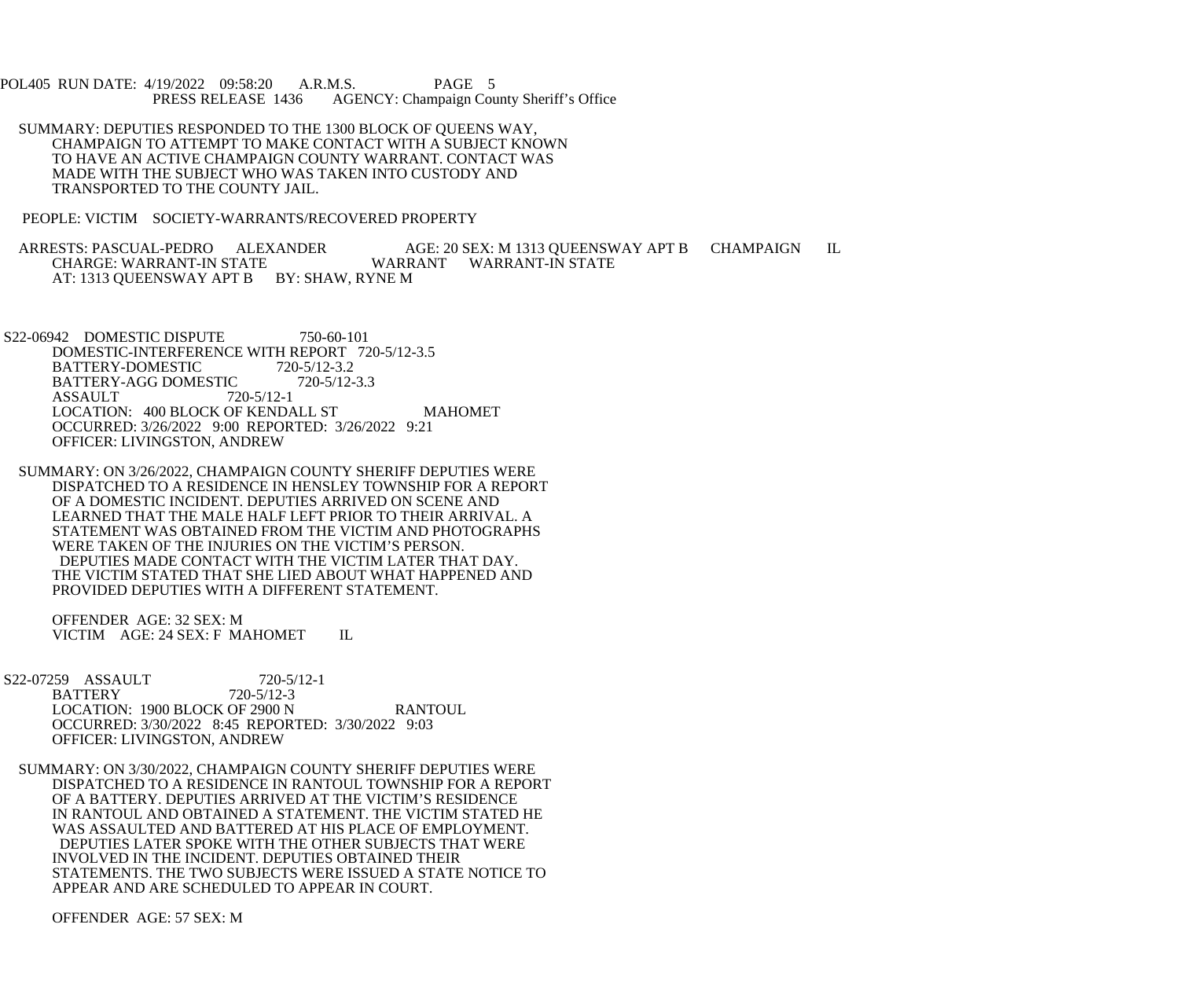POL405 RUN DATE: 4/19/2022 09:58:20 A.R.M.S. PAGE 5<br>PRESS RELEASE 1436 AGENCY: Champaign Cou AGENCY: Champaign County Sheriff's Office

 SUMMARY: DEPUTIES RESPONDED TO THE 1300 BLOCK OF QUEENS WAY, CHAMPAIGN TO ATTEMPT TO MAKE CONTACT WITH A SUBJECT KNOWN TO HAVE AN ACTIVE CHAMPAIGN COUNTY WARRANT. CONTACT WAS MADE WITH THE SUBJECT WHO WAS TAKEN INTO CUSTODY AND TRANSPORTED TO THE COUNTY JAIL.

PEOPLE: VICTIM SOCIETY-WARRANTS/RECOVERED PROPERTY

ARRESTS: PASCUAL-PEDRO ALEXANDER AGE: 20 SEX: M 1313 QUEENSWAY APT B CHAMPAIGN IL<br>CHARGE: WARRANT-IN STATE WARRANT WARRANT-IN STATE WARRANT WARRANT-IN STATE AT: 1313 QUEENSWAY APT B BY: SHAW, RYNE M

S22-06942 DOMESTIC DISPUTE 750-60-101 DOMESTIC-INTERFERENCE WITH REPORT 720-5/12-3.5<br>BATTERY-DOMESTIC 720-5/12-3.2 BATTERY-DOMESTIC 720-5/12-3.2<br>BATTERY-AGG DOMESTIC 720-5/12-3.3 BATTERY-AGG DOMESTIC<br>ASSAULT 720-5/12-1 **ASSAULT** LOCATION: 400 BLOCK OF KENDALL ST MAHOMET OCCURRED: 3/26/2022 9:00 REPORTED: 3/26/2022 9:21 OFFICER: LIVINGSTON, ANDREW

 SUMMARY: ON 3/26/2022, CHAMPAIGN COUNTY SHERIFF DEPUTIES WERE DISPATCHED TO A RESIDENCE IN HENSLEY TOWNSHIP FOR A REPORT OF A DOMESTIC INCIDENT. DEPUTIES ARRIVED ON SCENE AND LEARNED THAT THE MALE HALF LEFT PRIOR TO THEIR ARRIVAL. A STATEMENT WAS OBTAINED FROM THE VICTIM AND PHOTOGRAPHS WERE TAKEN OF THE INJURIES ON THE VICTIM'S PERSON. DEPUTIES MADE CONTACT WITH THE VICTIM LATER THAT DAY. THE VICTIM STATED THAT SHE LIED ABOUT WHAT HAPPENED AND PROVIDED DEPUTIES WITH A DIFFERENT STATEMENT.

 OFFENDER AGE: 32 SEX: M VICTIM AGE: 24 SEX: F MAHOMET IL

- S22-07259 ASSAULT 720-5/12-1<br>BATTERY 720-5/12-3 **BATTERY** LOCATION: 1900 BLOCK OF 2900 N RANTOUL OCCURRED: 3/30/2022 8:45 REPORTED: 3/30/2022 9:03 OFFICER: LIVINGSTON, ANDREW
- SUMMARY: ON 3/30/2022, CHAMPAIGN COUNTY SHERIFF DEPUTIES WERE DISPATCHED TO A RESIDENCE IN RANTOUL TOWNSHIP FOR A REPORT OF A BATTERY. DEPUTIES ARRIVED AT THE VICTIM'S RESIDENCE IN RANTOUL AND OBTAINED A STATEMENT. THE VICTIM STATED HE WAS ASSAULTED AND BATTERED AT HIS PLACE OF EMPLOYMENT. DEPUTIES LATER SPOKE WITH THE OTHER SUBJECTS THAT WERE INVOLVED IN THE INCIDENT. DEPUTIES OBTAINED THEIR STATEMENTS. THE TWO SUBJECTS WERE ISSUED A STATE NOTICE TO APPEAR AND ARE SCHEDULED TO APPEAR IN COURT.

OFFENDER AGE: 57 SEX: M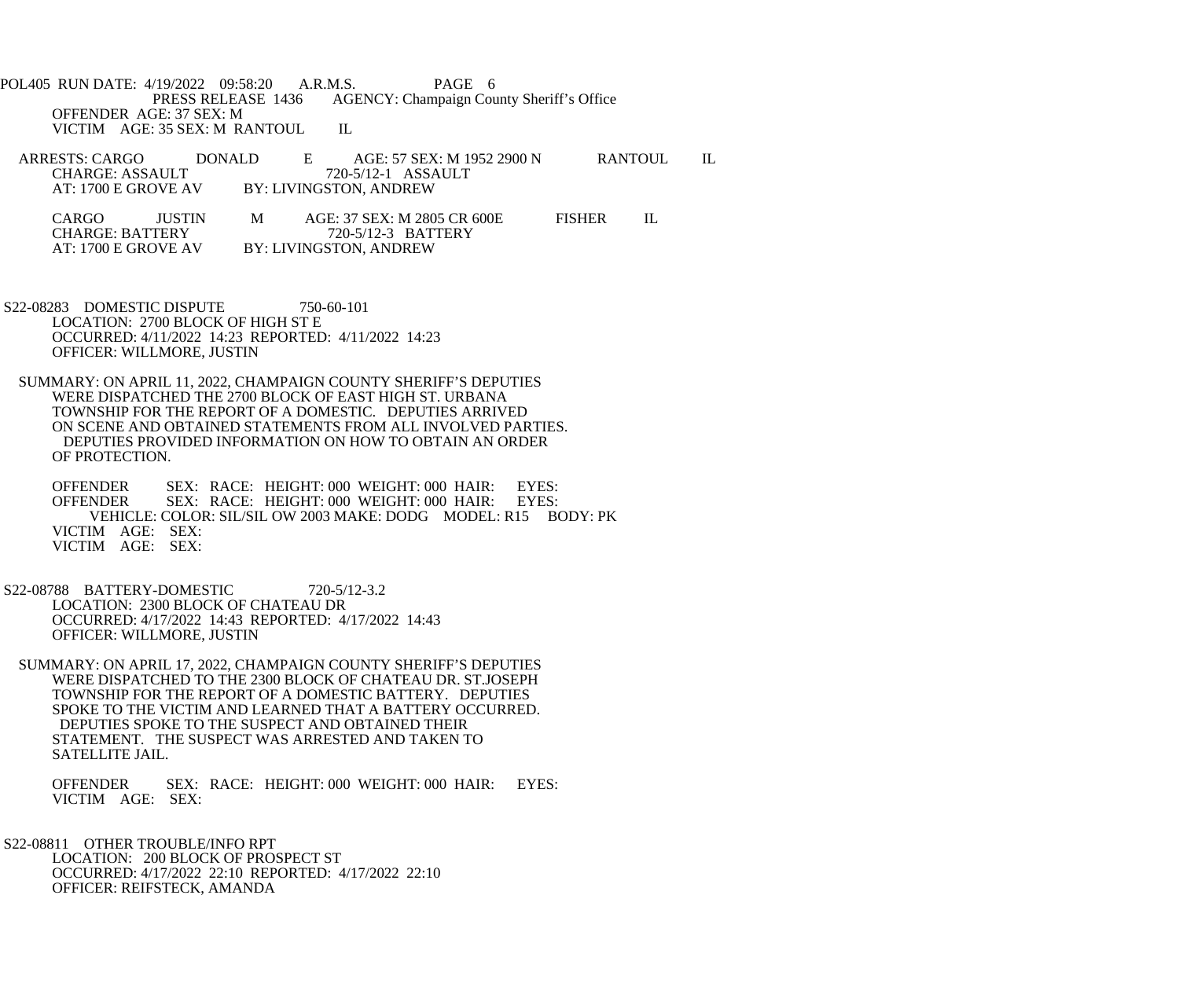POL405 RUN DATE: 4/19/2022 09:58:20 A.R.M.S. PAGE 6<br>PRESS RELEASE 1436 AGENCY: Champaign Cou AGENCY: Champaign County Sheriff's Office OFFENDER AGE: 37 SEX: M VICTIM AGE: 35 SEX: M RANTOUL IL

- ARRESTS: CARGO DONALD E AGE: 57 SEX: M 1952 2900 N RANTOUL IL CHARGE: ASSAULT 720-5/12-1 ASSAULT<br>AT: 1700 E GROVE AV BY: LIVINGSTON, ANDREW BY: LIVINGSTON, ANDREW CARGO JUSTIN M AGE: 37 SEX: M 2805 CR 600E FISHER IL<br>CHARGE: BATTERY 720-5/12-3 BATTERY
	- CHARGE: BATTERY 720-5/12-3 BATTERY<br>AT: 1700 E GROVE AV BY: LIVINGSTON. ANDREW BY: LIVINGSTON, ANDREW
- S22-08283 DOMESTIC DISPUTE 750-60-101 LOCATION: 2700 BLOCK OF HIGH ST E OCCURRED: 4/11/2022 14:23 REPORTED: 4/11/2022 14:23 OFFICER: WILLMORE, JUSTIN
- SUMMARY: ON APRIL 11, 2022, CHAMPAIGN COUNTY SHERIFF'S DEPUTIES WERE DISPATCHED THE 2700 BLOCK OF EAST HIGH ST. URBANA TOWNSHIP FOR THE REPORT OF A DOMESTIC. DEPUTIES ARRIVED ON SCENE AND OBTAINED STATEMENTS FROM ALL INVOLVED PARTIES. DEPUTIES PROVIDED INFORMATION ON HOW TO OBTAIN AN ORDER OF PROTECTION.

OFFENDER SEX: RACE: HEIGHT: 000 WEIGHT: 000 HAIR: EYES:<br>OFFENDER SEX: RACE: HEIGHT: 000 WEIGHT: 000 HAIR: EYES: OFFENDER SEX: RACE: HEIGHT: 000 WEIGHT: 000 HAIR: VEHICLE: COLOR: SIL/SIL OW 2003 MAKE: DODG MODEL: R15 BODY: PK VICTIM AGE: SEX: VICTIM AGE: SEX:

- S22-08788 BATTERY-DOMESTIC 720-5/12-3.2 LOCATION: 2300 BLOCK OF CHATEAU DR OCCURRED: 4/17/2022 14:43 REPORTED: 4/17/2022 14:43 OFFICER: WILLMORE, JUSTIN
- SUMMARY: ON APRIL 17, 2022, CHAMPAIGN COUNTY SHERIFF'S DEPUTIES WERE DISPATCHED TO THE 2300 BLOCK OF CHATEAU DR. ST.JOSEPH TOWNSHIP FOR THE REPORT OF A DOMESTIC BATTERY. DEPUTIES SPOKE TO THE VICTIM AND LEARNED THAT A BATTERY OCCURRED. DEPUTIES SPOKE TO THE SUSPECT AND OBTAINED THEIR STATEMENT. THE SUSPECT WAS ARRESTED AND TAKEN TO SATELLITE JAIL.

 OFFENDER SEX: RACE: HEIGHT: 000 WEIGHT: 000 HAIR: EYES: VICTIM AGE: SEX:

 S22-08811 OTHER TROUBLE/INFO RPT LOCATION: 200 BLOCK OF PROSPECT ST OCCURRED: 4/17/2022 22:10 REPORTED: 4/17/2022 22:10 OFFICER: REIFSTECK, AMANDA